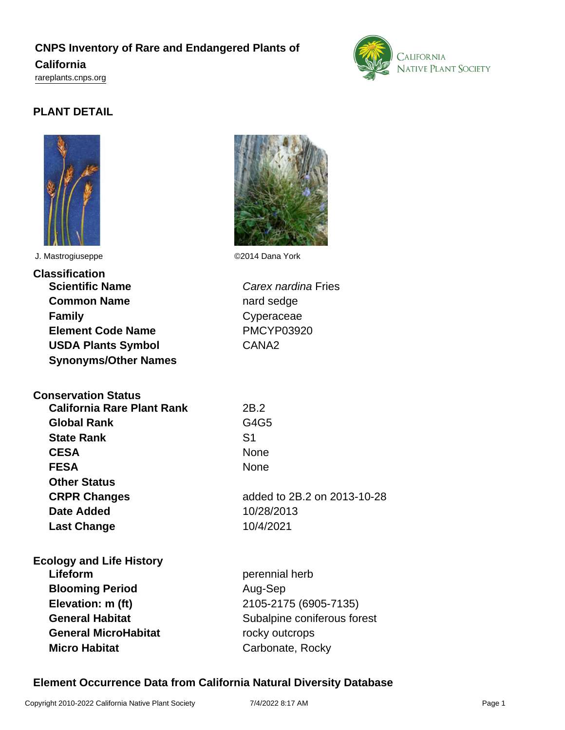# **CNPS Inventory of Rare and Endangered Plants of California**

<rareplants.cnps.org>

# **PLANT DETAIL**



J. Mastrogiuseppe ©2014 Dana York

| Classification              |
|-----------------------------|
| <b>Scientific Name</b>      |
| <b>Common Name</b>          |
| <b>Family</b>               |
| <b>Element Code Name</b>    |
| <b>USDA Plants Symbol</b>   |
| <b>Synonyms/Other Names</b> |

**Conservation Status**

| <b>California Rare Plant Rank</b> | 2B.2           |
|-----------------------------------|----------------|
| <b>Global Rank</b>                | G4G5           |
| <b>State Rank</b>                 | S <sub>1</sub> |
| <b>CESA</b>                       | None           |
| <b>FESA</b>                       | None           |
| <b>Other Status</b>               |                |
| <b>CRPR Changes</b>               | added to 2     |
| <b>Date Added</b>                 | 10/28/201      |
| <b>Last Change</b>                | 10/4/2021      |
|                                   |                |

**Ecology and Life History Lifeform perennial herb Blooming Period** Aug-Sep **Elevation: m (ft)** 2105-2175 (6905-7135) **General MicroHabitat** rocky outcrops



**Carex nardina Fries** nard sedge **Family** Cyperaceae **Element Code Name** PMCYP03920 CANA<sub>2</sub>

**CESA** None **CRPR Changes** added to 2B.2 on 2013-10-28 **Date Added** 10/28/2013

**General Habitat** Subalpine coniferous forest **Micro Habitat** Carbonate, Rocky

### **Element Occurrence Data from California Natural Diversity Database**

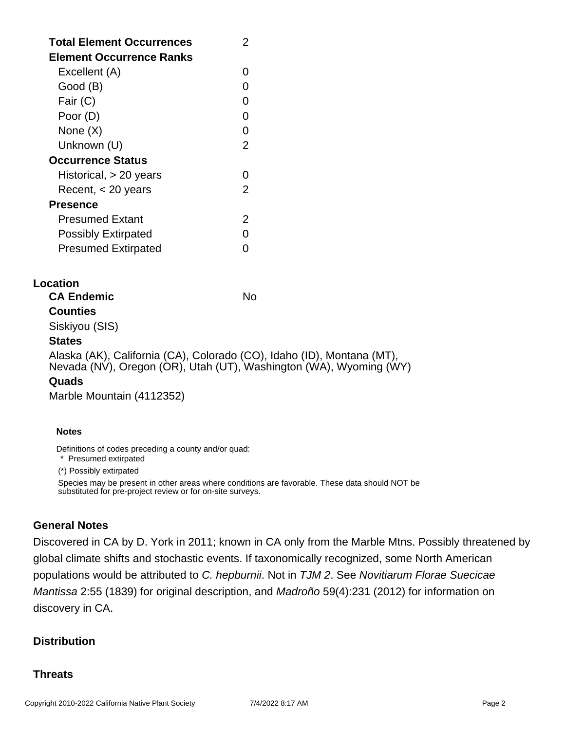| <b>Total Element Occurrences</b><br>Element Occurrence Ranks | 2 |
|--------------------------------------------------------------|---|
| Excellent (A)                                                |   |
| Good (B)                                                     |   |
| Fair (C)                                                     |   |
| Poor (D)                                                     |   |
| None (X)                                                     | O |
| Unknown (U)                                                  | 2 |
| <b>Occurrence Status</b>                                     |   |
| Historical, > 20 years                                       |   |
| Recent, $<$ 20 years                                         | 2 |
| Presence                                                     |   |
| Presumed Extant                                              | 2 |
| <b>Possibly Extirpated</b>                                   |   |
| <b>Presumed Extirpated</b>                                   |   |

### **Location**

**Counties**

**CA Endemic** No. No.

# Siskiyou (SIS)

### **States**

Alaska (AK), California (CA), Colorado (CO), Idaho (ID), Montana (MT), Nevada (NV), Oregon (OR), Utah (UT), Washington (WA), Wyoming (WY)

#### **Quads**

Marble Mountain (4112352)

#### **Notes**

Definitions of codes preceding a county and/or quad:

\* Presumed extirpated

(\*) Possibly extirpated

Species may be present in other areas where conditions are favorable. These data should NOT be substituted for pre-project review or for on-site surveys.

### **General Notes**

Discovered in CA by D. York in 2011; known in CA only from the Marble Mtns. Possibly threatened by global climate shifts and stochastic events. If taxonomically recognized, some North American populations would be attributed to C. hepburnii. Not in TJM 2. See Novitiarum Florae Suecicae Mantissa 2:55 (1839) for original description, and Madroño 59(4):231 (2012) for information on discovery in CA.

### **Distribution**

### **Threats**